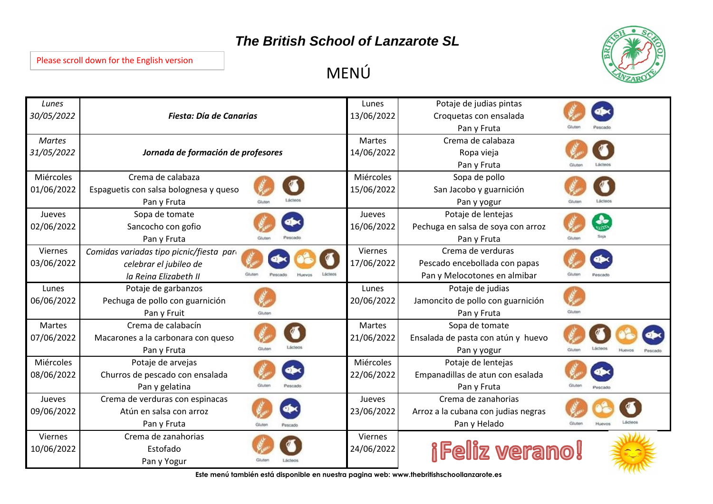## *The British School of Lanzarote SL*



## Please scroll down for the English version

MENÚ

| Lunes<br>30/05/2022          | Fiesta: Día de Canarias                                                                     | Lunes<br>13/06/2022     | Potaje de judias pintas<br>Croquetas con ensalada<br>Pan y Fruta                   |                    |
|------------------------------|---------------------------------------------------------------------------------------------|-------------------------|------------------------------------------------------------------------------------|--------------------|
| <b>Martes</b><br>31/05/2022  | Jornada de formación de profesores                                                          | Martes<br>14/06/2022    | Crema de calabaza<br>Ropa vieja<br>Pan y Fruta                                     |                    |
| Miércoles<br>01/06/2022      | Crema de calabaza<br>Espaguetis con salsa bolognesa y queso<br>Pan y Fruta                  | Miércoles<br>15/06/2022 | Sopa de pollo<br>San Jacobo y guarnición<br>Pan y yogur                            |                    |
| Jueves<br>02/06/2022         | Sopa de tomate<br>Sancocho con gofio<br>Pan y Fruta                                         | Jueves<br>16/06/2022    | Potaje de lentejas<br>Pechuga en salsa de soya con arroz<br>Pan y Fruta            |                    |
| Viernes<br>03/06/2022        | Comidas variadas tipo picnic/fiesta pare<br>celebrar el jubileo de<br>la Reina Elizabeth II | Viernes<br>17/06/2022   | Crema de verduras<br>Pescado encebollada con papas<br>Pan y Melocotones en almibar |                    |
| Lunes<br>06/06/2022          | Potaje de garbanzos<br>Pechuga de pollo con guarnición<br>Pan y Fruit                       | Lunes<br>20/06/2022     | Potaje de judias<br>Jamoncito de pollo con guarnición<br>Pan y Fruta               | Gluter             |
| <b>Martes</b><br>07/06/2022  | Crema de calabacín<br>Macarones a la carbonara con queso<br>Glubin<br>Pan y Fruta           | Martes<br>21/06/2022    | Sopa de tomate<br>Ensalada de pasta con atún y huevo<br>Pan y yogur                | <b>City in our</b> |
| Miércoles<br>08/06/2022      | Potaje de arvejas<br>Churros de pescado con ensalada<br>Pan y gelatina                      | Miércoles<br>22/06/2022 | Potaje de lentejas<br>Empanadillas de atun con esalada<br>Pan y Fruta              |                    |
| Jueves<br>09/06/2022         | Crema de verduras con espinacas<br>Atún en salsa con arroz<br>Pan y Fruta                   | Jueves<br>23/06/2022    | Crema de zanahorias<br>Arroz a la cubana con judias negras<br>Pan y Helado         |                    |
| <b>Viernes</b><br>10/06/2022 | Crema de zanahorias<br>Estofado<br>Pan y Yogur                                              | Viernes<br>24/06/2022   | <i><b>iFeliz verano!</b></i>                                                       |                    |

**Este menú también está disponible en nuestra pagina web: www.thebritishschoollanzarote.es**